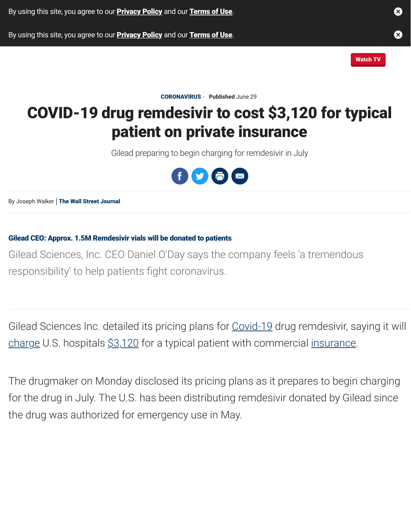# [COVID-19 dru](https://www.foxbusiness.com/healthcare/covid-drug-remdesivir-private-insurance#)[g re](https://www.foxbusiness.com/privacy-policy)[mdes](https://www.foxbusiness.com/healthcare/covid-drug-remdesivir-private-insurance#)[ivir to](https://www.foxbusiness.com/terms-of-use) cost \$3,120 [p](https://www.foxbusiness.com/healthcare/covid-drug-remdesivir-private-insurance#)[atient](https://www.foxbusiness.com/privacy-policy) [on p](https://www.foxbusiness.com/healthcare/covid-drug-remdesivir-private-insurance#)[rivat](https://www.foxbusiness.com/terms-of-use)[e insurance](https://www.foxbusiness.com/healthcare/covid-drug-remdesivir-private-insurance#)

Gilead preparing to begin charging for remdesivir in July



By Joseph Walker | The Wall Street Journal

#### Gilead CEO: Approx. 1.5M Remdesivir vials will be donated to patients

Gilead Sciences, Inc. CEO Daniel O'Day says the company feels 'a trei responsibility' to help patients fight [coronavirus.](https://www.foxbusiness.com/healthcare/covid-drug-remdesivir-private-insurance#)

Gilead Sciences Inc. detailed its pricing plans for Covid-19 drug remd [charge U.S. hospitals \\$3,120 for a typical patient](http://video.foxbusiness.com/v/6153510139001) with commercial inst

The drugmaker on Monday disclosed its pricing plans as it prepares to for the drug in July. The U.S. has been distributing remdesivir donated the drug was authorized for emergency use in May.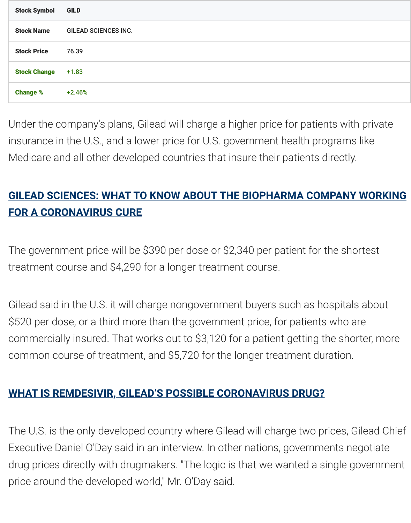Under the c[omp](https://www.foxbusiness.com/quote?stockTicker=GILD)any's plans, Gilead will charge a higher price for patients. insurance in the U.S., and a lower price for U.S. government health programs Medicare and all other developed countries that insure their patients

## **GILEAD SCIENCES: WHAT TO KNOW ABOUT THE BIOPHARMA CO FOR A CORONAVIRUS CURE**

The government price will be \$390 per dose or \$2,340 per patient for treatment course and \$4,290 for a longer treatment course.

[Gilead said in the U.S. it will charge nongovernment buyers such as hospitals about](https://www.foxbusiness.com/lifestyle/gilead-sciences-what-to-know) as hospitals as hospitals as h \$520 per dose, or a third more than the government price, for patient commercially insured. That works out to \$3,120 for a patient getting common course of treatment, and \$5,720 for the longer treatment du

#### **WHAT IS REMDESIVIR, GILEAD'S POSSIBLE CORONAVIRUS DRUG?**

The U.S. is the only developed country where Gilead will charge two prices. Executive Daniel O'Day said in an interview. In other nations, governments drug prices directly with drugmakers. "The logic is that we wanted a stingle government government government price around the developed world," Mr. O'Day said.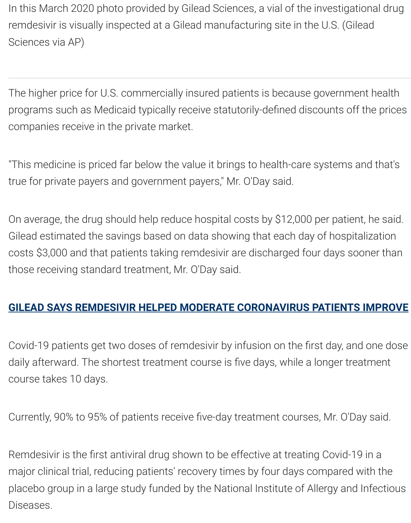programs such as Medicaid typically receive statutorily-defined disco companies receive in the private market.

"This medicine is priced far below the value it brings to health-care sy true for private payers and government payers," Mr. O'Day said.

On average, the drug should help reduce hospital costs by \$12,000 por Gilead estimated the savings based on data showing that each day c costs \$3,000 and that patients taking remdesivir are discharged four those receiving standard treatment, Mr. O'Day said.

#### **GILEAD SAYS REMDESIVIR HELPED MODERATE CORONAVIRUS PA**

Covid-19 patients get two doses of remdesivir by infusion on the first daily afterward. The shortest treatment course is five days, while a lo course takes 10 days.

Currently, 90% to 95% of patients receive five-day treatment courses,

Remdesivir is the first antiviral drug shown to be effective at treating major clinical trial, reducing patients' recovery times by four days cor placebo group in a large study funded by the National Institute of Alle Diseases.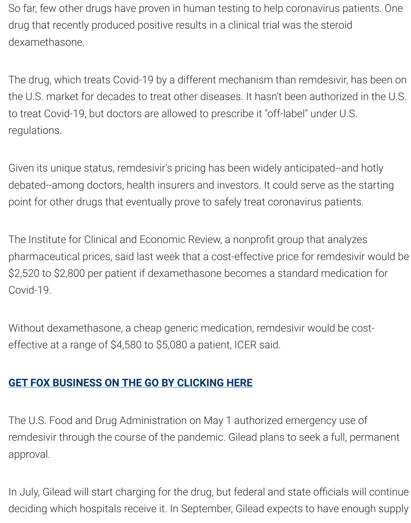to treat Covid-19, but doctors are allowed to prescribe it "off-label" un regulations.

Given its unique status, remdesivir's pricing has been widely anticipateddebated--among doctors, health insurers and investors. It could serve point for other drugs that eventually prove to safely treat coronavirus

The Institute for Clinical and Economic Review, a nonprofit group that pharmaceutical prices, said last week that a cost-effective price for re \$2,520 to \$2,800 per patient if dexamethasone becomes a standard Covid-19.

Without dexamethasone, a cheap generic medication, remdesivir wo effective at a range of \$4,580 to \$5,080 a patient, ICER said.

### **GET FOX BUSINESS ON THE GO BY CLICKING HERE**

The U.S. Food and Drug Administration on May 1 authorized emerger remdesivir through the course of the pandemic. Gilead plans to seek approval.

[In July, Gilead will start charging for the drug, but fede](https://foxbusiness.onelink.me/Zkcx?pid=AppArticleLink&af_dp=foxbusinesssaf%3A%2F%2F&af_web_dp=https%3A%2F%2Fwww.foxbusiness.com%2Fapps-products)ral and state of deciding which hospitals receive it. In September, Gilead expects to h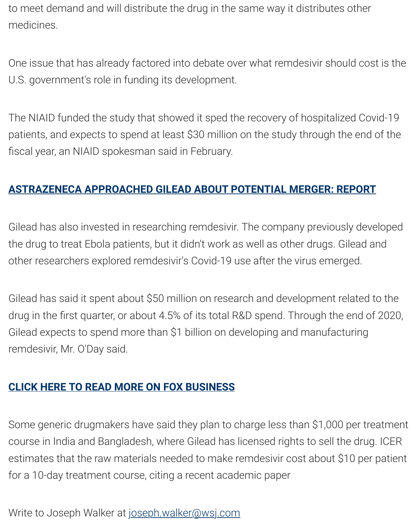The NIAID funded the study that showed it sped the recovery of hosp patients, and expects to spend at least \$30 million on the study throu fiscal year, an NIAID spokesman said in February.

### **ASTRAZENECA APPROACHED GILEAD ABOUT POTENTIAL MERGE**

Gilead has also invested in researching remdesivir. The company pre the drug to treat Ebola patients, but it didn't work as well as other drugs. other researchers explored remdesivir's Covid-19 use after the virus  $\epsilon$ 

Gilead has said it spent about \$50 million on research and developm drug in the first quarter, or about 4.5% of its total R&D spend. Throug Gilead expects to spend more than \$1 billion on developing and man remdesivir, Mr. O'Day said.

### **CLICK HERE TO READ MORE ON FOX BUSINESS**

Some generic drugmakers have said they plan to charge less than \$1 course in India and Bangladesh, where Gilead has licensed rights to sell estimates that the raw materials needed to make remdesivir cost about for a 10-day treatment course, citing a recent academic paper

Write to Joseph Walker at joseph.walker@wsj.com